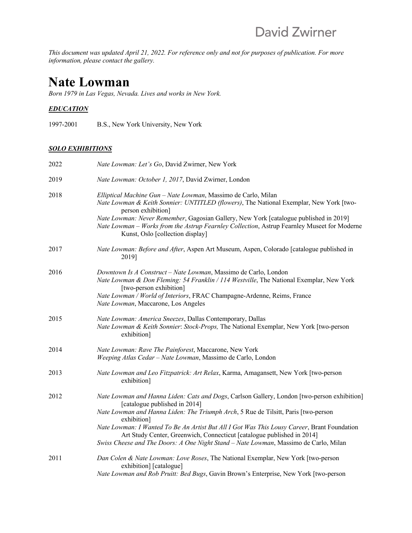*This document was updated April 21, 2022. For reference only and not for purposes of publication. For more information, please contact the gallery.*

# **Nate Lowman**

*Born 1979 in Las Vegas, Nevada. Lives and works in New York.*

## *EDUCATION*

1997-2001 B.S., New York University, New York

## *SOLO EXHIBITIONS*

| 2022 | Nate Lowman: Let's Go, David Zwirner, New York                                                                                                                                                                                                                                                                                                                                                                                                                                                     |
|------|----------------------------------------------------------------------------------------------------------------------------------------------------------------------------------------------------------------------------------------------------------------------------------------------------------------------------------------------------------------------------------------------------------------------------------------------------------------------------------------------------|
| 2019 | Nate Lowman: October 1, 2017, David Zwirner, London                                                                                                                                                                                                                                                                                                                                                                                                                                                |
| 2018 | Elliptical Machine Gun - Nate Lowman, Massimo de Carlo, Milan<br>Nate Lowman & Keith Sonnier: UNTITLED (flowers), The National Exemplar, New York [two-<br>person exhibition]<br>Nate Lowman: Never Remember, Gagosian Gallery, New York [catalogue published in 2019]<br>Nate Lowman - Works from the Astrup Fearnley Collection, Astrup Fearnley Museet for Moderne<br>Kunst, Oslo [collection display]                                                                                          |
| 2017 | Nate Lowman: Before and After, Aspen Art Museum, Aspen, Colorado [catalogue published in<br>2019]                                                                                                                                                                                                                                                                                                                                                                                                  |
| 2016 | Downtown Is A Construct - Nate Lowman, Massimo de Carlo, London<br>Nate Lowman & Don Fleming: 54 Franklin / 114 Westville, The National Exemplar, New York<br>[two-person exhibition]<br>Nate Lowman / World of Interiors, FRAC Champagne-Ardenne, Reims, France<br>Nate Lowman, Maccarone, Los Angeles                                                                                                                                                                                            |
| 2015 | Nate Lowman: America Sneezes, Dallas Contemporary, Dallas<br>Nate Lowman & Keith Sonnier: Stock-Props, The National Exemplar, New York [two-person<br>exhibition]                                                                                                                                                                                                                                                                                                                                  |
| 2014 | Nate Lowman: Rave The Painforest, Maccarone, New York<br>Weeping Atlas Cedar - Nate Lowman, Massimo de Carlo, London                                                                                                                                                                                                                                                                                                                                                                               |
| 2013 | Nate Lowman and Leo Fitzpatrick: Art Relax, Karma, Amagansett, New York [two-person<br>exhibition]                                                                                                                                                                                                                                                                                                                                                                                                 |
| 2012 | Nate Lowman and Hanna Liden: Cats and Dogs, Carlson Gallery, London [two-person exhibition]<br>[catalogue published in 2014]<br>Nate Lowman and Hanna Liden: The Triumph Arch, 5 Rue de Tilsitt, Paris [two-person<br>exhibition]<br>Nate Lowman: I Wanted To Be An Artist But All I Got Was This Lousy Career, Brant Foundation<br>Art Study Center, Greenwich, Connecticut [catalogue published in 2014]<br>Swiss Cheese and The Doors: A One Night Stand - Nate Lowman, Massimo de Carlo, Milan |
| 2011 | Dan Colen & Nate Lowman: Love Roses, The National Exemplar, New York [two-person<br>exhibition] [catalogue]<br>Nate Lowman and Rob Pruitt: Bed Bugs, Gavin Brown's Enterprise, New York [two-person                                                                                                                                                                                                                                                                                                |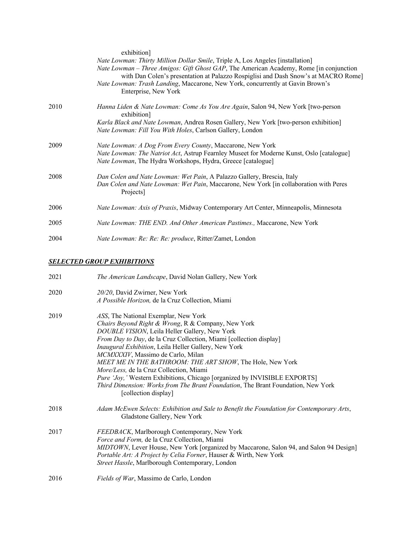|      | exhibition]<br>Nate Lowman: Thirty Million Dollar Smile, Triple A, Los Angeles [installation]<br>Nate Lowman – Three Amigos: Gift Ghost GAP, The American Academy, Rome [in conjunction]<br>with Dan Colen's presentation at Palazzo Rospiglisi and Dash Snow's at MACRO Rome]<br>Nate Lowman: Trash Landing, Maccarone, New York, concurrently at Gavin Brown's<br>Enterprise, New York |
|------|------------------------------------------------------------------------------------------------------------------------------------------------------------------------------------------------------------------------------------------------------------------------------------------------------------------------------------------------------------------------------------------|
| 2010 | Hanna Liden & Nate Lowman: Come As You Are Again, Salon 94, New York [two-person<br>exhibition]                                                                                                                                                                                                                                                                                          |
|      | Karla Black and Nate Lowman, Andrea Rosen Gallery, New York [two-person exhibition]<br>Nate Lowman: Fill You With Holes, Carlson Gallery, London                                                                                                                                                                                                                                         |
| 2009 | Nate Lowman: A Dog From Every County, Maccarone, New York<br>Nate Lowman: The Natriot Act, Astrup Fearnley Museet for Moderne Kunst, Oslo [catalogue]<br>Nate Lowman, The Hydra Workshops, Hydra, Greece [catalogue]                                                                                                                                                                     |
| 2008 | Dan Colen and Nate Lowman: Wet Pain, A Palazzo Gallery, Brescia, Italy<br>Dan Colen and Nate Lowman: Wet Pain, Maccarone, New York [in collaboration with Peres<br>Projects <sup>1</sup>                                                                                                                                                                                                 |
| 2006 | Nate Lowman: Axis of Praxis, Midway Contemporary Art Center, Minneapolis, Minnesota                                                                                                                                                                                                                                                                                                      |
| 2005 | Nate Lowman: THE END. And Other American Pastimes., Maccarone, New York                                                                                                                                                                                                                                                                                                                  |
| 2004 | Nate Lowman: Re: Re: Re: produce, Ritter/Zamet, London                                                                                                                                                                                                                                                                                                                                   |

## *SELECTED GROUP EXHIBITIONS*

| 2021 | The American Landscape, David Nolan Gallery, New York                                                                                                                                                                                                                                                                                                                                                                                                                                                                                                                                                           |
|------|-----------------------------------------------------------------------------------------------------------------------------------------------------------------------------------------------------------------------------------------------------------------------------------------------------------------------------------------------------------------------------------------------------------------------------------------------------------------------------------------------------------------------------------------------------------------------------------------------------------------|
| 2020 | 20/20, David Zwirner, New York<br>A Possible Horizon, de la Cruz Collection, Miami                                                                                                                                                                                                                                                                                                                                                                                                                                                                                                                              |
| 2019 | ASS, The National Exemplar, New York<br>Chairs Beyond Right & Wrong, R & Company, New York<br>DOUBLE VISION, Leila Heller Gallery, New York<br>From Day to Day, de la Cruz Collection, Miami [collection display]<br>Inaugural Exhibition, Leila Heller Gallery, New York<br>MCMXXXIV, Massimo de Carlo, Milan<br>MEET ME IN THE BATHROOM: THE ART SHOW, The Hole, New York<br>More/Less, de la Cruz Collection, Miami<br>Pure 'Joy,' Western Exhibitions, Chicago [organized by INVISIBLE EXPORTS]<br>Third Dimension: Works from The Brant Foundation, The Brant Foundation, New York<br>[collection display] |
| 2018 | Adam McEwen Selects: Exhibition and Sale to Benefit the Foundation for Contemporary Arts,<br>Gladstone Gallery, New York                                                                                                                                                                                                                                                                                                                                                                                                                                                                                        |
| 2017 | FEEDBACK, Marlborough Contemporary, New York<br>Force and Form, de la Cruz Collection, Miami<br>MIDTOWN, Lever House, New York [organized by Maccarone, Salon 94, and Salon 94 Design]<br>Portable Art: A Project by Celia Forner, Hauser & Wirth, New York<br>Street Hassle, Marlborough Contemporary, London                                                                                                                                                                                                                                                                                                  |
| 2016 | Fields of War, Massimo de Carlo, London                                                                                                                                                                                                                                                                                                                                                                                                                                                                                                                                                                         |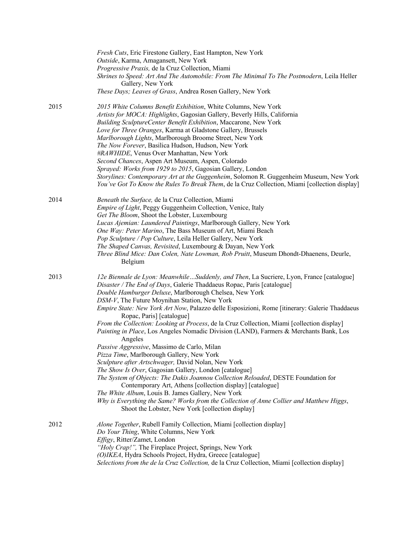|      | Fresh Cuts, Eric Firestone Gallery, East Hampton, New York<br>Outside, Karma, Amagansett, New York<br>Progressive Praxis, de la Cruz Collection, Miami<br>Shrines to Speed: Art And The Automobile: From The Minimal To The Postmodern, Leila Heller<br>Gallery, New York<br>These Days; Leaves of Grass, Andrea Rosen Gallery, New York                                                                                                                                                                                                                                                                                                                                                                                                                                                                                                                                                                                                                                                                                                                                                                                                                                         |
|------|----------------------------------------------------------------------------------------------------------------------------------------------------------------------------------------------------------------------------------------------------------------------------------------------------------------------------------------------------------------------------------------------------------------------------------------------------------------------------------------------------------------------------------------------------------------------------------------------------------------------------------------------------------------------------------------------------------------------------------------------------------------------------------------------------------------------------------------------------------------------------------------------------------------------------------------------------------------------------------------------------------------------------------------------------------------------------------------------------------------------------------------------------------------------------------|
| 2015 | 2015 White Columns Benefit Exhibition, White Columns, New York<br>Artists for MOCA: Highlights, Gagosian Gallery, Beverly Hills, California<br>Building SculptureCenter Benefit Exhibition, Maccarone, New York<br>Love for Three Oranges, Karma at Gladstone Gallery, Brussels<br>Marlborough Lights, Marlborough Broome Street, New York<br>The Now Forever, Basilica Hudson, Hudson, New York<br>#RAWHIDE, Venus Over Manhattan, New York<br>Second Chances, Aspen Art Museum, Aspen, Colorado<br>Sprayed: Works from 1929 to 2015, Gagosian Gallery, London<br>Storylines: Contemporary Art at the Guggenheim, Solomon R. Guggenheim Museum, New York<br>You've Got To Know the Rules To Break Them, de la Cruz Collection, Miami [collection display]                                                                                                                                                                                                                                                                                                                                                                                                                       |
| 2014 | Beneath the Surface, de la Cruz Collection, Miami<br><i>Empire of Light</i> , Peggy Guggenheim Collection, Venice, Italy<br>Get The Bloom, Shoot the Lobster, Luxembourg<br>Lucas Ajemian: Laundered Paintings, Marlborough Gallery, New York<br>One Way: Peter Marino, The Bass Museum of Art, Miami Beach<br>Pop Sculpture / Pop Culture, Leila Heller Gallery, New York<br>The Shaped Canvas, Revisited, Luxembourg & Dayan, New York<br>Three Blind Mice: Dan Colen, Nate Lowman, Rob Pruitt, Museum Dhondt-Dhaenens, Deurle,<br>Belgium                                                                                                                                                                                                                                                                                                                                                                                                                                                                                                                                                                                                                                     |
| 2013 | 12e Biennale de Lyon: MeanwhileSuddenly, and Then, La Sucriere, Lyon, France [catalogue]<br>Disaster / The End of Days, Galerie Thaddaeus Ropac, Paris [catalogue]<br>Double Hamburger Deluxe, Marlborough Chelsea, New York<br>DSM-V, The Future Moynihan Station, New York<br>Empire State: New York Art Now, Palazzo delle Esposizioni, Rome [itinerary: Galerie Thaddaeus<br>Ropac, Paris] [catalogue]<br>From the Collection: Looking at Process, de la Cruz Collection, Miami [collection display]<br>Painting in Place, Los Angeles Nomadic Division (LAND), Farmers & Merchants Bank, Los<br>Angeles<br>Passive Aggressive, Massimo de Carlo, Milan<br>Pizza Time, Marlborough Gallery, New York<br>Sculpture after Artschwager, David Nolan, New York<br>The Show Is Over, Gagosian Gallery, London [catalogue]<br>The System of Objects: The Dakis Joannou Collection Reloaded, DESTE Foundation for<br>Contemporary Art, Athens [collection display] [catalogue]<br>The White Album, Louis B. James Gallery, New York<br>Why is Everything the Same? Works from the Collection of Anne Collier and Matthew Higgs,<br>Shoot the Lobster, New York [collection display] |
| 2012 | Alone Together, Rubell Family Collection, Miami [collection display]<br>Do Your Thing, White Columns, New York<br>Effigy, Ritter/Zamet, London<br>"Holy Crap!", The Fireplace Project, Springs, New York<br>(O)IKEA, Hydra Schools Project, Hydra, Greece [catalogue]<br>Selections from the de la Cruz Collection, de la Cruz Collection, Miami [collection display]                                                                                                                                                                                                                                                                                                                                                                                                                                                                                                                                                                                                                                                                                                                                                                                                            |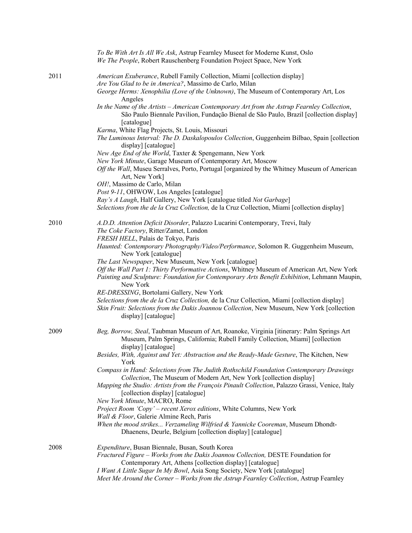|      | To Be With Art Is All We Ask, Astrup Fearnley Museet for Moderne Kunst, Oslo<br>We The People, Robert Rauschenberg Foundation Project Space, New York                                                                                                             |
|------|-------------------------------------------------------------------------------------------------------------------------------------------------------------------------------------------------------------------------------------------------------------------|
| 2011 | American Exuberance, Rubell Family Collection, Miami [collection display]<br>Are You Glad to be in America?, Massimo de Carlo, Milan                                                                                                                              |
|      | George Herms: Xenophilia (Love of the Unknown), The Museum of Contemporary Art, Los<br>Angeles                                                                                                                                                                    |
|      | In the Name of the Artists - American Contemporary Art from the Astrup Fearnley Collection,<br>São Paulo Biennale Pavilion, Fundação Bienal de São Paulo, Brazil [collection display]<br>[catalogue]                                                              |
|      | Karma, White Flag Projects, St. Louis, Missouri<br>The Luminous Interval: The D. Daskalopoulos Collection, Guggenheim Bilbao, Spain [collection]<br>display] [catalogue]                                                                                          |
|      | New Age End of the World, Taxter & Spengemann, New York<br>New York Minute, Garage Museum of Contemporary Art, Moscow<br>Off the Wall, Museu Serralves, Porto, Portugal [organized by the Whitney Museum of American<br>Art, New York]                            |
|      | OH!, Massimo de Carlo, Milan<br>Post 9-11, OHWOW, Los Angeles [catalogue]                                                                                                                                                                                         |
|      | Ray's A Laugh, Half Gallery, New York [catalogue titled Not Garbage]<br>Selections from the de la Cruz Collection, de la Cruz Collection, Miami [collection display]                                                                                              |
| 2010 | A.D.D. Attention Deficit Disorder, Palazzo Lucarini Contemporary, Trevi, Italy<br>The Coke Factory, Ritter/Zamet, London                                                                                                                                          |
|      | FRESH HELL, Palais de Tokyo, Paris<br>Haunted: Contemporary Photography/Video/Performance, Solomon R. Guggenheim Museum,<br>New York [catalogue]                                                                                                                  |
|      | The Last Newspaper, New Museum, New York [catalogue]<br>Off the Wall Part 1: Thirty Performative Actions, Whitney Museum of American Art, New York<br>Painting and Sculpture: Foundation for Contemporary Arts Benefit Exhibition, Lehmann Maupin,<br>New York    |
|      | RE-DRESSING, Bortolami Gallery, New York                                                                                                                                                                                                                          |
|      | Selections from the de la Cruz Collection, de la Cruz Collection, Miami [collection display]<br>Skin Fruit: Selections from the Dakis Joannou Collection, New Museum, New York [collection<br>display] [catalogue]                                                |
| 2009 | Beg, Borrow, Steal, Taubman Museum of Art, Roanoke, Virginia [itinerary: Palm Springs Art<br>Museum, Palm Springs, California; Rubell Family Collection, Miami] [collection<br>display] [catalogue]                                                               |
|      | Besides, With, Against and Yet: Abstraction and the Ready-Made Gesture, The Kitchen, New<br>York                                                                                                                                                                  |
|      | Compass in Hand: Selections from The Judith Rothschild Foundation Contemporary Drawings<br>Collection, The Museum of Modern Art, New York [collection display]<br>Mapping the Studio: Artists from the François Pinault Collection, Palazzo Grassi, Venice, Italy |
|      | [collection display] [catalogue]<br>New York Minute, MACRO, Rome                                                                                                                                                                                                  |
|      | Project Room 'Copy' - recent Xerox editions, White Columns, New York                                                                                                                                                                                              |
|      | Wall & Floor, Galerie Almine Rech, Paris<br>When the mood strikes Verzameling Wilfried & Yannicke Cooreman, Museum Dhondt-<br>Dhaenens, Deurle, Belgium [collection display] [catalogue]                                                                          |
| 2008 | Expenditure, Busan Biennale, Busan, South Korea<br>Fractured Figure - Works from the Dakis Joannou Collection, DESTE Foundation for                                                                                                                               |
|      | Contemporary Art, Athens [collection display] [catalogue]                                                                                                                                                                                                         |
|      | I Want A Little Sugar In My Bowl, Asia Song Society, New York [catalogue]<br>Meet Me Around the Corner - Works from the Astrup Fearnley Collection, Astrup Fearnley                                                                                               |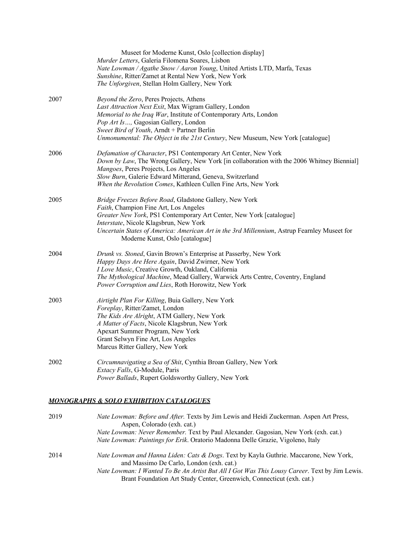|      | Museet for Moderne Kunst, Oslo [collection display]<br>Murder Letters, Galeria Filomena Soares, Lisbon<br>Nate Lowman / Agathe Snow / Aaron Young, United Artists LTD, Marfa, Texas<br>Sunshine, Ritter/Zamet at Rental New York, New York<br>The Unforgiven, Stellan Holm Gallery, New York                                                        |
|------|-----------------------------------------------------------------------------------------------------------------------------------------------------------------------------------------------------------------------------------------------------------------------------------------------------------------------------------------------------|
| 2007 | Beyond the Zero, Peres Projects, Athens<br>Last Attraction Next Exit, Max Wigram Gallery, London<br>Memorial to the Iraq War, Institute of Contemporary Arts, London<br>Pop Art Is, Gagosian Gallery, London<br>Sweet Bird of Youth, Arndt + Partner Berlin<br>Unmonumental: The Object in the 21st Century, New Museum, New York [catalogue]       |
| 2006 | Defamation of Character, PS1 Contemporary Art Center, New York<br>Down by Law, The Wrong Gallery, New York [in collaboration with the 2006 Whitney Biennial]<br>Mangoes, Peres Projects, Los Angeles<br>Slow Burn, Galerie Edward Mitterand, Geneva, Switzerland<br>When the Revolution Comes, Kathleen Cullen Fine Arts, New York                  |
| 2005 | Bridge Freezes Before Road, Gladstone Gallery, New York<br>Faith, Champion Fine Art, Los Angeles<br>Greater New York, PS1 Contemporary Art Center, New York [catalogue]<br>Interstate, Nicole Klagsbrun, New York<br>Uncertain States of America: American Art in the 3rd Millennium, Astrup Fearnley Museet for<br>Moderne Kunst, Oslo [catalogue] |
| 2004 | Drunk vs. Stoned, Gavin Brown's Enterprise at Passerby, New York<br>Happy Days Are Here Again, David Zwirner, New York<br>I Love Music, Creative Growth, Oakland, California<br>The Mythological Machine, Mead Gallery, Warwick Arts Centre, Coventry, England<br>Power Corruption and Lies, Roth Horowitz, New York                                |
| 2003 | Airtight Plan For Killing, Buia Gallery, New York<br>Foreplay, Ritter/Zamet, London<br>The Kids Are Alright, ATM Gallery, New York<br>A Matter of Facts, Nicole Klagsbrun, New York<br>Apexart Summer Program, New York<br>Grant Selwyn Fine Art, Los Angeles<br>Marcus Ritter Gallery, New York                                                    |
| 2002 | Circumnavigating a Sea of Shit, Cynthia Broan Gallery, New York<br>Extacy Falls, G-Module, Paris<br>Power Ballads, Rupert Goldsworthy Gallery, New York                                                                                                                                                                                             |
|      |                                                                                                                                                                                                                                                                                                                                                     |

## *MONOGRAPHS & SOLO EXHIBITION CATALOGUES*

| 2019 | Nate Lowman: Before and After. Texts by Jim Lewis and Heidi Zuckerman. Aspen Art Press,<br>Aspen, Colorado (exh. cat.)<br>Nate Lowman: Never Remember. Text by Paul Alexander. Gagosian, New York (exh. cat.)                                                                                               |
|------|-------------------------------------------------------------------------------------------------------------------------------------------------------------------------------------------------------------------------------------------------------------------------------------------------------------|
|      | Nate Lowman: Paintings for Erik. Oratorio Madonna Delle Grazie, Vigoleno, Italy                                                                                                                                                                                                                             |
| 2014 | Nate Lowman and Hanna Liden: Cats & Dogs. Text by Kayla Guthrie. Maccarone, New York,<br>and Massimo De Carlo, London (exh. cat.)<br>Nate Lowman: I Wanted To Be An Artist But All I Got Was This Lousy Career. Text by Jim Lewis.<br>Brant Foundation Art Study Center, Greenwich, Connecticut (exh. cat.) |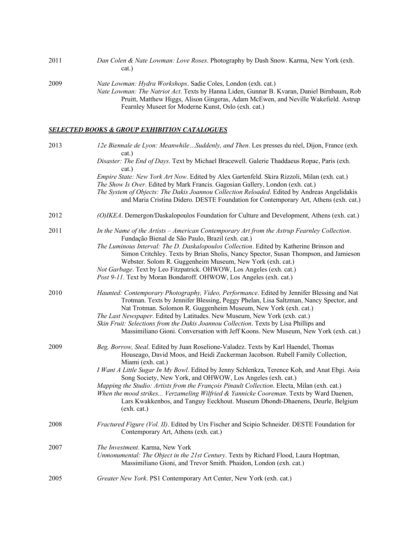| 2011 | Dan Colen & Nate Lowman: Love Roses. Photography by Dash Snow. Karma, New York (exh.<br>cat.)                                                                                                                                                                                                                          |
|------|------------------------------------------------------------------------------------------------------------------------------------------------------------------------------------------------------------------------------------------------------------------------------------------------------------------------|
| 2009 | <i>Nate Lowman: Hydra Workshops.</i> Sadie Coles, London (exh. cat.)<br><i>Nate Lowman: The Natriot Act.</i> Texts by Hanna Liden, Gunnar B. Kvaran, Daniel Birnbaum, Rob<br>Pruitt, Matthew Higgs, Alison Gingeras, Adam McEwen, and Neville Wakefield. Astrup<br>Fearnley Museet for Moderne Kunst, Oslo (exh. cat.) |

## *SELECTED BOOKS & GROUP EXHIBITION CATALOGUES*

| 2013 | 12e Biennale de Lyon: MeanwhileSuddenly, and Then. Les presses du réel, Dijon, France (exh.<br>cat.)                                                                                                                                                                                                                                                                 |
|------|----------------------------------------------------------------------------------------------------------------------------------------------------------------------------------------------------------------------------------------------------------------------------------------------------------------------------------------------------------------------|
|      | Disaster: The End of Days. Text by Michael Bracewell. Galerie Thaddaeus Ropac, Paris (exh.<br>cat.)                                                                                                                                                                                                                                                                  |
|      | Empire State: New York Art Now. Edited by Alex Gartenfeld. Skira Rizzoli, Milan (exh. cat.)<br>The Show Is Over. Edited by Mark Francis. Gagosian Gallery, London (exh. cat.)<br>The System of Objects: The Dakis Joannou Collection Reloaded. Edited by Andreas Angelidakis<br>and Maria Cristina Didero. DESTE Foundation for Contemporary Art, Athens (exh. cat.) |
| 2012 | (O)IKEA. Demergon/Daskalopoulos Foundation for Culture and Development, Athens (exh. cat.)                                                                                                                                                                                                                                                                           |
| 2011 | In the Name of the Artists - American Contemporary Art from the Astrup Fearnley Collection.<br>Fundação Bienal de São Paulo, Brazil (exh. cat.)                                                                                                                                                                                                                      |
|      | The Luminous Interval: The D. Daskalopoulos Collection. Edited by Katherine Brinson and<br>Simon Critchley. Texts by Brian Sholis, Nancy Spector, Susan Thompson, and Jamieson<br>Webster. Solom R. Guggenheim Museum, New York (exh. cat.)                                                                                                                          |
|      | Not Garbage. Text by Leo Fitzpatrick. OHWOW, Los Angeles (exh. cat.)<br>Post 9-11. Text by Moran Bondaroff. OHWOW, Los Angeles (exh. cat.)                                                                                                                                                                                                                           |
| 2010 | Haunted: Contemporary Photography, Video, Performance. Edited by Jennifer Blessing and Nat<br>Trotman. Texts by Jennifer Blessing, Peggy Phelan, Lisa Saltzman, Nancy Spector, and<br>Nat Trotman. Solomon R. Guggenheim Museum, New York (exh. cat.)                                                                                                                |
|      | The Last Newspaper. Edited by Latitudes. New Museum, New York (exh. cat.)<br>Skin Fruit: Selections from the Dakis Joannou Collection. Texts by Lisa Phillips and<br>Massimiliano Gioni. Conversation with Jeff Koons. New Museum, New York (exh. cat.)                                                                                                              |
| 2009 | Beg, Borrow, Steal. Edited by Juan Roselione-Valadez. Texts by Karl Haendel, Thomas<br>Houseago, David Moos, and Heidi Zuckerman Jacobson. Rubell Family Collection,                                                                                                                                                                                                 |
|      | Miami (exh. cat.)<br>I Want A Little Sugar In My Bowl. Edited by Jenny Schlenkza, Terence Koh, and Anat Ebgi. Asia<br>Song Society, New York, and OHWOW, Los Angeles (exh. cat.)                                                                                                                                                                                     |
|      | Mapping the Studio: Artists from the François Pinault Collection. Electa, Milan (exh. cat.)<br>When the mood strikes Verzameling Wilfried & Yannicke Cooreman. Texts by Ward Daenen,<br>Lars Kwakkenbos, and Tanguy Eeckhout. Museum Dhondt-Dhaenens, Deurle, Belgium<br>(exh. cat.)                                                                                 |
| 2008 | Fractured Figure (Vol. II). Edited by Urs Fischer and Scipio Schneider. DESTE Foundation for<br>Contemporary Art, Athens (exh. cat.)                                                                                                                                                                                                                                 |
| 2007 | The Investment. Karma, New York<br>Unmonumental: The Object in the 21st Century. Texts by Richard Flood, Laura Hoptman,<br>Massimiliano Gioni, and Trevor Smith. Phaidon, London (exh. cat.)                                                                                                                                                                         |
| 2005 | Greater New York. PS1 Contemporary Art Center, New York (exh. cat.)                                                                                                                                                                                                                                                                                                  |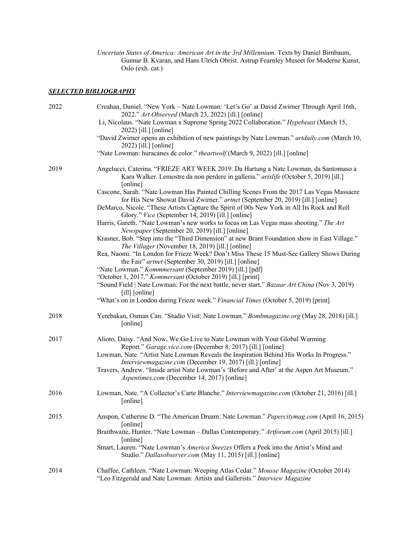*Uncertain States of America: American Art in the 3rd Millennium*. Texts by Daniel Birnbaum, Gunnar B. Kvaran, and Hans Ulrich Obrist. Astrup Fearnley Museet for Moderne Kunst, Oslo (exh. cat.)

### *SELECTED BIBLIOGRAPHY*

| 2022 | Creahan, Daniel. "New York - Nate Lowman: 'Let's Go' at David Zwirner Through April 16th,<br>2022." Art Observed (March 23, 2022) [ill.] [online]<br>Li, Nicolaus. "Nate Lowman x Supreme Spring 2022 Collaboration." Hypebeast (March 15,<br>2022) [ill.] [online]<br>"David Zwirner opens an exhibition of new paintings by Nate Lowman." artdaily.com (March 10,                                                                                                                                                         |
|------|-----------------------------------------------------------------------------------------------------------------------------------------------------------------------------------------------------------------------------------------------------------------------------------------------------------------------------------------------------------------------------------------------------------------------------------------------------------------------------------------------------------------------------|
|      | 2022) [ill.] [online]<br>"Nate Lowman: huracanes de color." theartwolf (March 9, 2022) [ill.] [online]                                                                                                                                                                                                                                                                                                                                                                                                                      |
| 2019 | Angelucci, Caterina. "FRIEZE ART WEEK 2019. Da Hartung a Nate Lowman, da Santomaso a<br>Kara Walker. Lemostre da non perdere in galleria." artslife (October 5, 2019) [ill.]<br>[online]<br>Cascone, Sarah. "Nate Lowman Has Painted Chilling Scenes From the 2017 Las Vegas Massacre<br>for His New Showat David Zwirner." artnet (September 20, 2019) [ill.] [online]<br>DeMarco, Nicole. "These Artists Capture the Spirit of 00s New York in All Its Rock and Roll<br>Glory." Vice (September 14, 2019) [ill.] [online] |
|      | Harris, Gareth. "Nate Lowman's new works to focus on Las Vegas mass shooting." The Art<br>Newspaper (September 20, 2019) [ill.] [online]<br>Krasner, Bob. "Step into the "Third Dimension" at new Brant Foundation show in East Village."<br>The Villager (November 18, 2019) [ill.] [online]<br>Rea, Naomi. "In London for Frieze Week? Don't Miss These 15 Must-See Gallery Shows During<br>the Fair" artnet (September 30, 2019) [ill.] [online]                                                                         |
|      | "Nate Lowman." Kommmersant (September 2019) [ill.] [pdf]<br>"October 1, 2017." Kommersant (October 2019) [ill.] [print]<br>"Sound Field   Nate Lowman: For the next battle, never start." Bazaar Art China (Nov 3, 2019)<br>[ill] [online]<br>"What's on in London during Frieze week." Financial Times (October 5, 2019) [print]                                                                                                                                                                                           |
| 2018 | Yerebakan, Osman Can. "Studio Visit: Nate Lowman." Bombmagazine.org (May 28, 2018) [ill.]<br>[online]                                                                                                                                                                                                                                                                                                                                                                                                                       |
| 2017 | Alioto, Daisy. "And Now, We Go Live to Nate Lowman with Your Global Warming<br>Report." Garage.vice.com (December 8, 2017) [ill.] [online]<br>Lowman, Nate. "Artist Nate Lowman Reveals the Inspiration Behind His Works In Progress."<br>Interviewmagazine.com (December 19, 2017) [ill.] [online]<br>Travers, Andrew. "Inside artist Nate Lowman's 'Before and After' at the Aspen Art Museum."<br>Aspentimes.com (December 14, 2017) [online]                                                                            |
| 2016 | Lowman, Nate. "A Collector's Carte Blanche." Interviewmagazine.com (October 21, 2016) [ill.]<br>[online]                                                                                                                                                                                                                                                                                                                                                                                                                    |
| 2015 | Anspon, Catherine D. "The American Dream: Nate Lowman." Papercitymag.com (April 16, 2015)<br>[online]<br>Braithwaite, Hunter. "Nate Lowman - Dallas Contemporary." Artforum.com (April 2015) [ill.]<br>[online]<br>Smart, Lauren. "Nate Lowman's America Sneezes Offers a Peek into the Artist's Mind and<br>Studio." Dallasobserver.com (May 11, 2015) [ill.] [online]                                                                                                                                                     |
| 2014 | Chaffee, Cathleen. "Nate Lowman: Weeping Atlas Cedar." Mousse Magazine (October 2014)<br>"Leo Fitzgerald and Nate Lowman: Artists and Gallerists." Interview Magazine                                                                                                                                                                                                                                                                                                                                                       |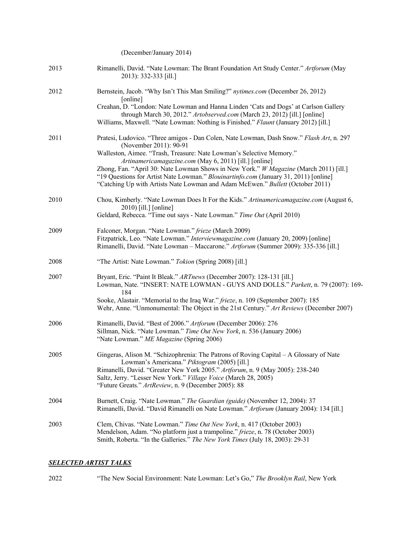|      | (December/January 2014)                                                                                                                                                                                                                                                                                                                                                                                                                                                                                                 |
|------|-------------------------------------------------------------------------------------------------------------------------------------------------------------------------------------------------------------------------------------------------------------------------------------------------------------------------------------------------------------------------------------------------------------------------------------------------------------------------------------------------------------------------|
| 2013 | Rimanelli, David. "Nate Lowman: The Brant Foundation Art Study Center." Artforum (May<br>2013): 332-333 [ill.]                                                                                                                                                                                                                                                                                                                                                                                                          |
| 2012 | Bernstein, Jacob. "Why Isn't This Man Smiling?" nytimes.com (December 26, 2012)<br>[online]<br>Creahan, D. "London: Nate Lowman and Hanna Linden 'Cats and Dogs' at Carlson Gallery<br>through March 30, 2012." Artobserved.com (March 23, 2012) [ill.] [online]<br>Williams, Maxwell. "Nate Lowman: Nothing is Finished." Flaunt (January 2012) [ill.]                                                                                                                                                                 |
| 2011 | Pratesi, Ludovico. "Three amigos - Dan Colen, Nate Lowman, Dash Snow." Flash Art, n. 297<br>(November 2011): 90-91<br>Walleston, Aimee. "Trash, Treasure: Nate Lowman's Selective Memory."<br>Artinamericamagazine.com (May 6, 2011) [ill.] [online]<br>Zhong, Fan. "April 30: Nate Lowman Shows in New York." W Magazine (March 2011) [ill.]<br>"19 Questions for Artist Nate Lowman." Blouinartinfo.com (January 31, 2011) [online]<br>"Catching Up with Artists Nate Lowman and Adam McEwen." Bullett (October 2011) |
| 2010 | Chou, Kimberly. "Nate Lowman Does It For the Kids." Artinamericamagazine.com (August 6,<br>2010) [ill.] [online]<br>Geldard, Rebecca. "Time out says - Nate Lowman." Time Out (April 2010)                                                                                                                                                                                                                                                                                                                              |
| 2009 | Falconer, Morgan. "Nate Lowman." frieze (March 2009)<br>Fitzpatrick, Leo. "Nate Lowman." Interviewmagazine.com (January 20, 2009) [online]<br>Rimanelli, David. "Nate Lowman - Maccarone." Artforum (Summer 2009): 335-336 [ill.]                                                                                                                                                                                                                                                                                       |
| 2008 | "The Artist: Nate Lowman." Tokion (Spring 2008) [ill.]                                                                                                                                                                                                                                                                                                                                                                                                                                                                  |
| 2007 | Bryant, Eric. "Paint It Bleak." ARTnews (December 2007): 128-131 [ill.]<br>Lowman, Nate. "INSERT: NATE LOWMAN - GUYS AND DOLLS." Parkett, n. 79 (2007): 169-<br>184<br>Sooke, Alastair. "Memorial to the Iraq War." frieze, n. 109 (September 2007): 185<br>Wehr, Anne. "Unmonumental: The Object in the 21st Century." Art Reviews (December 2007)                                                                                                                                                                     |
| 2006 | Rimanelli, David. "Best of 2006." Artforum (December 2006): 276<br>Sillman, Nick. "Nate Lowman." Time Out New York, n. 536 (January 2006)<br>"Nate Lowman." ME Magazine (Spring 2006)                                                                                                                                                                                                                                                                                                                                   |
| 2005 | Gingeras, Alison M. "Schizophrenia: The Patrons of Roving Capital – A Glossary of Nate<br>Lowman's Americana." Piktogram (2005) [ill.]<br>Rimanelli, David. "Greater New York 2005." Artforum, n. 9 (May 2005): 238-240<br>Saltz, Jerry. "Lesser New York." Village Voice (March 28, 2005)<br>"Future Greats." ArtReview, n. 9 (December 2005): 88                                                                                                                                                                      |
| 2004 | Burnett, Craig. "Nate Lowman." The Guardian (guide) (November 12, 2004): 37<br>Rimanelli, David. "David Rimanelli on Nate Lowman." Artforum (January 2004): 134 [ill.]                                                                                                                                                                                                                                                                                                                                                  |
| 2003 | Clem, Chivas. "Nate Lowman." Time Out New York, n. 417 (October 2003)<br>Mendelson, Adam. "No platform just a trampoline." frieze, n. 78 (October 2003)<br>Smith, Roberta. "In the Galleries." The New York Times (July 18, 2003): 29-31                                                                                                                                                                                                                                                                                |

## *SELECTED ARTIST TALKS*

2022 "The New Social Environment: Nate Lowman: Let's Go," *The Brooklyn Rail*, New York